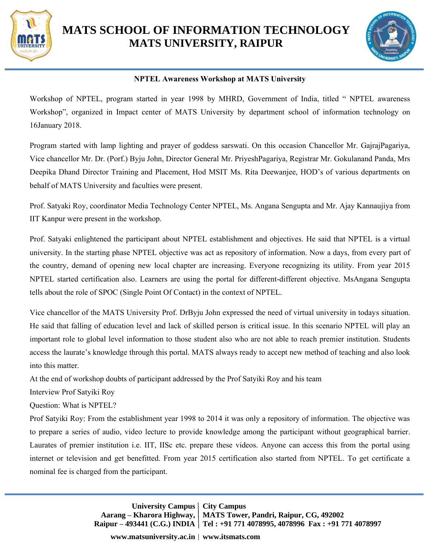

## **MATS SCHOOL OF INFORMATION TECHNOLOGY MATS UNIVERSITY, RAIPUR**



## **NPTEL Awareness Workshop at MATS University**

Workshop of NPTEL, program started in year 1998 by MHRD, Government of India, titled " NPTEL awareness Workshop", organized in Impact center of MATS University by department school of information technology on 16January 2018.

Program started with lamp lighting and prayer of goddess sarswati. On this occasion Chancellor Mr. GajrajPagariya, Vice chancellor Mr. Dr. (Porf.) Byju John, Director General Mr. PriyeshPagariya, Registrar Mr. Gokulanand Panda, Mrs Deepika Dhand Director Training and Placement, Hod MSIT Ms. Rita Deewanjee, HOD's of various departments on behalf of MATS University and faculties were present.

Prof. Satyaki Roy, coordinator Media Technology Center NPTEL, Ms. Angana Sengupta and Mr. Ajay Kannaujiya from IIT Kanpur were present in the workshop.

Prof. Satyaki enlightened the participant about NPTEL establishment and objectives. He said that NPTEL is a virtual university. In the starting phase NPTEL objective was act as repository of information. Now a days, from every part of the country, demand of opening new local chapter are increasing. Everyone recognizing its utility. From year 2015 NPTEL started certification also. Learners are using the portal for different-different objective. MsAngana Sengupta tells about the role of SPOC (Single Point Of Contact) in the context of NPTEL.

Vice chancellor of the MATS University Prof. DrByju John expressed the need of virtual university in todays situation. He said that falling of education level and lack of skilled person is critical issue. In this scenario NPTEL will play an important role to global level information to those student also who are not able to reach premier institution. Students access the laurate's knowledge through this portal. MATS always ready to accept new method of teaching and also look into this matter.

At the end of workshop doubts of participant addressed by the Prof Satyiki Roy and his team

Interview Prof Satyiki Roy

Question: What is NPTEL?

Prof Satyiki Roy: From the establishment year 1998 to 2014 it was only a repository of information. The objective was to prepare a series of audio, video lecture to provide knowledge among the participant without geographical barrier. Laurates of premier institution i.e. IIT, IISc etc. prepare these videos. Anyone can access this from the portal using internet or television and get benefitted. From year 2015 certification also started from NPTEL. To get certificate a nominal fee is charged from the participant.

> **University Campus** | City Campus **Aarang – Kharora Highway, MATS Tower, Pandri, Raipur, CG, 492002 Raipur – 493441 (C.G.) INDIA Tel : +91 771 4078995, 4078996 Fax : +91 771 4078997**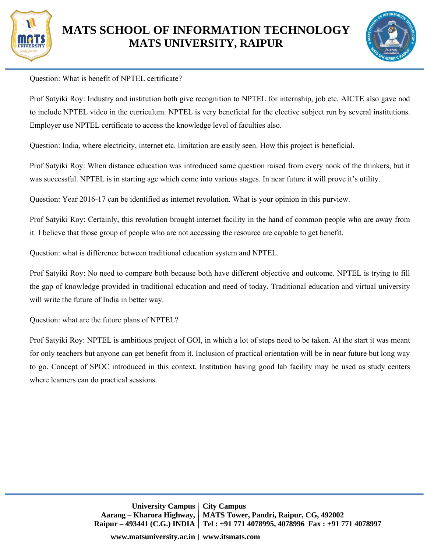



## Question: What is benefit of NPTEL certificate?

Prof Satyiki Roy: Industry and institution both give recognition to NPTEL for internship, job etc. AICTE also gave nod to include NPTEL video in the curriculum. NPTEL is very beneficial for the elective subject run by several institutions. Employer use NPTEL certificate to access the knowledge level of faculties also.

Question: India, where electricity, internet etc. limitation are easily seen. How this project is beneficial.

Prof Satyiki Roy: When distance education was introduced same question raised from every nook of the thinkers, but it was successful. NPTEL is in starting age which come into various stages. In near future it will prove it's utility.

Question: Year 2016-17 can be identified as internet revolution. What is your opinion in this purview.

Prof Satyiki Roy: Certainly, this revolution brought internet facility in the hand of common people who are away from it. I believe that those group of people who are not accessing the resource are capable to get benefit.

Question: what is difference between traditional education system and NPTEL.

Prof Satyiki Roy: No need to compare both because both have different objective and outcome. NPTEL is trying to fill the gap of knowledge provided in traditional education and need of today. Traditional education and virtual university will write the future of India in better way.

Question: what are the future plans of NPTEL?

Prof Satyiki Roy: NPTEL is ambitious project of GOI, in which a lot of steps need to be taken. At the start it was meant for only teachers but anyone can get benefit from it. Inclusion of practical orientation will be in near future but long way to go. Concept of SPOC introduced in this context. Institution having good lab facility may be used as study centers where learners can do practical sessions.